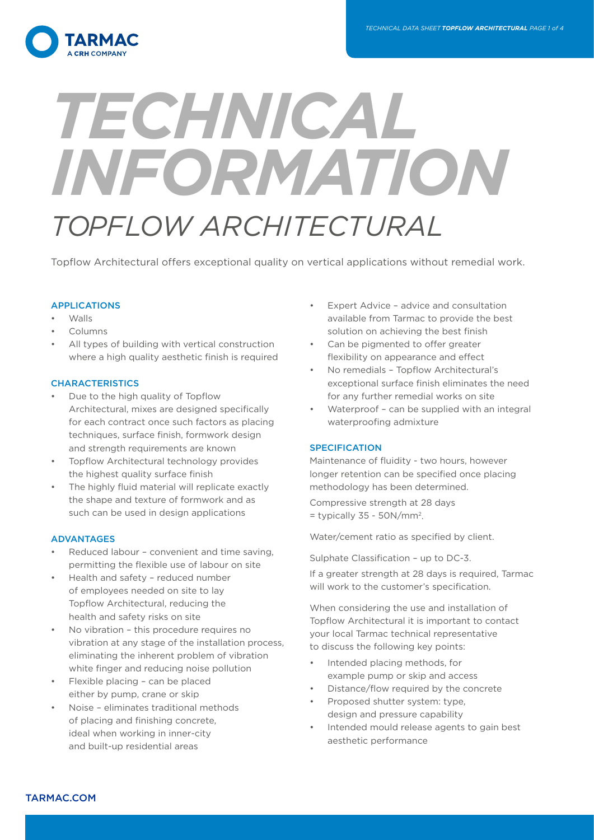

# *TECHNICAL INFORMATION TOPFLOW ARCHITECTURAL*

Topflow Architectural offers exceptional quality on vertical applications without remedial work.

## APPLICATIONS

- Walls
- Columns
- All types of building with vertical construction where a high quality aesthetic finish is required

## **CHARACTERISTICS**

- Due to the high quality of Topflow Architectural, mixes are designed specifically for each contract once such factors as placing techniques, surface finish, formwork design and strength requirements are known
- Topflow Architectural technology provides the highest quality surface finish
- The highly fluid material will replicate exactly the shape and texture of formwork and as such can be used in design applications

## ADVANTAGES

- Reduced labour convenient and time saving, permitting the flexible use of labour on site
- Health and safety reduced number of employees needed on site to lay Topflow Architectural, reducing the health and safety risks on site
- No vibration this procedure requires no vibration at any stage of the installation process, eliminating the inherent problem of vibration white finger and reducing noise pollution
- Flexible placing can be placed either by pump, crane or skip
- Noise eliminates traditional methods of placing and finishing concrete, ideal when working in inner-city and built-up residential areas
- Expert Advice advice and consultation available from Tarmac to provide the best solution on achieving the best finish
- Can be pigmented to offer greater flexibility on appearance and effect
- No remedials Topflow Architectural's exceptional surface finish eliminates the need for any further remedial works on site
- Waterproof can be supplied with an integral waterproofing admixture

## **SPECIFICATION**

Maintenance of fluidity - two hours, however longer retention can be specified once placing methodology has been determined.

Compressive strength at 28 days  $=$  typically 35 - 50N/mm<sup>2</sup>.

Water/cement ratio as specified by client.

Sulphate Classification – up to DC-3.

If a greater strength at 28 days is required, Tarmac will work to the customer's specification.

When considering the use and installation of Topflow Architectural it is important to contact your local Tarmac technical representative to discuss the following key points:

- Intended placing methods, for example pump or skip and access
- Distance/flow required by the concrete
- Proposed shutter system: type, design and pressure capability
- Intended mould release agents to gain best aesthetic performance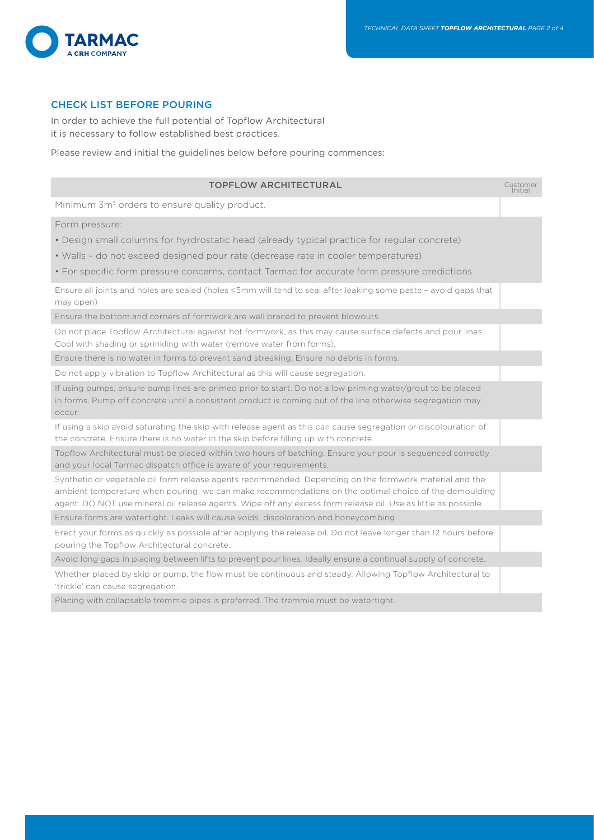

# CHECK LIST BEFORE POURING

In order to achieve the full potential of Topflow Architectural it is necessary to follow established best practices.

Please review and initial the guidelines below before pouring commences:

| <b>TOPFLOW ARCHITECTURAL</b>                                                                                                                                                                                                                                                                                                      | Customer<br>Initial |
|-----------------------------------------------------------------------------------------------------------------------------------------------------------------------------------------------------------------------------------------------------------------------------------------------------------------------------------|---------------------|
| Minimum 3m <sup>3</sup> orders to ensure quality product.                                                                                                                                                                                                                                                                         |                     |
| Form pressure:                                                                                                                                                                                                                                                                                                                    |                     |
| • Design small columns for hyrdrostatic head (already typical practice for regular concrete)                                                                                                                                                                                                                                      |                     |
| • Walls - do not exceed designed pour rate (decrease rate in cooler temperatures)                                                                                                                                                                                                                                                 |                     |
| • For specific form pressure concerns, contact Tarmac for accurate form pressure predictions                                                                                                                                                                                                                                      |                     |
| Ensure all joints and holes are sealed (holes <5mm will tend to seal after leaking some paste - avoid gaps that<br>may open)                                                                                                                                                                                                      |                     |
| Ensure the bottom and corners of formwork are well braced to prevent blowouts.                                                                                                                                                                                                                                                    |                     |
| Do not place Topflow Architectural against hot formwork, as this may cause surface defects and pour lines.<br>Cool with shading or sprinkling with water (remove water from forms).                                                                                                                                               |                     |
| Ensure there is no water in forms to prevent sand streaking. Ensure no debris in forms.                                                                                                                                                                                                                                           |                     |
| Do not apply vibration to Topflow Architectural as this will cause segregation.                                                                                                                                                                                                                                                   |                     |
| If using pumps, ensure pump lines are primed prior to start. Do not allow priming water/grout to be placed<br>in forms. Pump off concrete until a consistent product is coming out of the line otherwise segregation may<br>occur.                                                                                                |                     |
| If using a skip avoid saturating the skip with release agent as this can cause segregation or discolouration of<br>the concrete. Ensure there is no water in the skip before filling up with concrete.                                                                                                                            |                     |
| Topflow Architectural must be placed within two hours of batching. Ensure your pour is sequenced correctly<br>and your local Tarmac dispatch office is aware of your requirements.                                                                                                                                                |                     |
| Synthetic or vegetable oil form release agents recommended. Depending on the formwork material and the<br>ambient temperature when pouring, we can make recommendations on the optimal choice of the demoulding<br>agent. DO NOT use mineral oil release agents. Wipe off any excess form release oil. Use as little as possible. |                     |
| Ensure forms are watertight. Leaks will cause voids, discoloration and honeycombing.                                                                                                                                                                                                                                              |                     |
| Erect your forms as quickly as possible after applying the release oil. Do not leave longer than 12 hours before<br>pouring the Topflow Architectural concrete.                                                                                                                                                                   |                     |
| Avoid long gaps in placing between lifts to prevent pour lines. Ideally ensure a continual supply of concrete.                                                                                                                                                                                                                    |                     |
| Whether placed by skip or pump, the flow must be continuous and steady. Allowing Topflow Architectural to<br>'trickle' can cause segregation.                                                                                                                                                                                     |                     |
| Placing with collapsable tremmie pipes is preferred. The tremmie must be watertight.                                                                                                                                                                                                                                              |                     |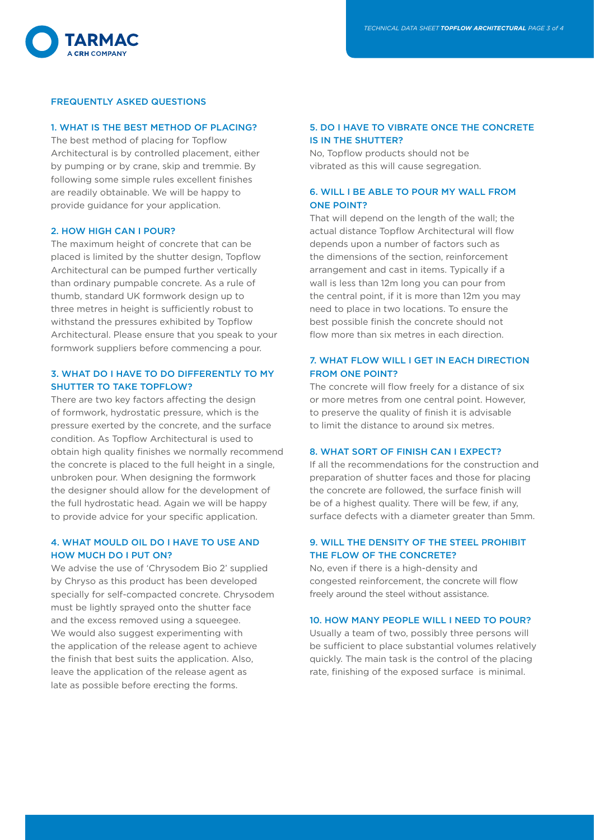

#### FREQUENTLY ASKED QUESTIONS

#### 1. WHAT IS THE BEST METHOD OF PLACING?

The best method of placing for Topflow Architectural is by controlled placement, either by pumping or by crane, skip and tremmie. By following some simple rules excellent finishes are readily obtainable. We will be happy to provide guidance for your application.

#### 2. HOW HIGH CAN I POUR?

The maximum height of concrete that can be placed is limited by the shutter design, Topflow Architectural can be pumped further vertically than ordinary pumpable concrete. As a rule of thumb, standard UK formwork design up to three metres in height is sufficiently robust to withstand the pressures exhibited by Topflow Architectural. Please ensure that you speak to your formwork suppliers before commencing a pour.

## 3. WHAT DO I HAVE TO DO DIFFERENTLY TO MY SHUTTER TO TAKE TOPFLOW?

There are two key factors affecting the design of formwork, hydrostatic pressure, which is the pressure exerted by the concrete, and the surface condition. As Topflow Architectural is used to obtain high quality finishes we normally recommend the concrete is placed to the full height in a single, unbroken pour. When designing the formwork the designer should allow for the development of the full hydrostatic head. Again we will be happy to provide advice for your specific application.

## 4. WHAT MOULD OIL DO I HAVE TO USE AND HOW MUCH DO I PUT ON?

We advise the use of 'Chrysodem Bio 2' supplied by Chryso as this product has been developed specially for self-compacted concrete. Chrysodem must be lightly sprayed onto the shutter face and the excess removed using a squeegee. We would also suggest experimenting with the application of the release agent to achieve the finish that best suits the application. Also, leave the application of the release agent as late as possible before erecting the forms.

## 5. DO I HAVE TO VIBRATE ONCE THE CONCRETE IS IN THE SHUTTER?

No, Topflow products should not be vibrated as this will cause segregation.

## 6. WILL I BE ABLE TO POUR MY WALL FROM ONE POINT?

That will depend on the length of the wall; the actual distance Topflow Architectural will flow depends upon a number of factors such as the dimensions of the section, reinforcement arrangement and cast in items. Typically if a wall is less than 12m long you can pour from the central point, if it is more than 12m you may need to place in two locations. To ensure the best possible finish the concrete should not flow more than six metres in each direction.

## 7. WHAT FLOW WILL I GET IN EACH DIRECTION FROM ONE POINT?

The concrete will flow freely for a distance of six or more metres from one central point. However, to preserve the quality of finish it is advisable to limit the distance to around six metres.

## 8. WHAT SORT OF FINISH CAN I EXPECT?

If all the recommendations for the construction and preparation of shutter faces and those for placing the concrete are followed, the surface finish will be of a highest quality. There will be few, if any, surface defects with a diameter greater than 5mm.

## 9. WILL THE DENSITY OF THE STEEL PROHIBIT THE FLOW OF THE CONCRETE?

No, even if there is a high-density and congested reinforcement, the concrete will flow freely around the steel without assistance.

#### 10. HOW MANY PEOPLE WILL I NEED TO POUR?

Usually a team of two, possibly three persons will be sufficient to place substantial volumes relatively quickly. The main task is the control of the placing rate, finishing of the exposed surface is minimal.